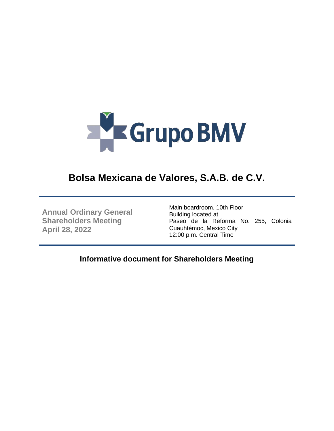

# **Bolsa Mexicana de Valores, S.A.B. de C.V.**

**Annual Ordinary General Shareholders Meeting April 28, 2022**

Main boardroom, 10th Floor Building located at Paseo de la Reforma No. 255, Colonia Cuauhtémoc, Mexico City 12:00 p.m. Central Time

**Informative document for Shareholders Meeting**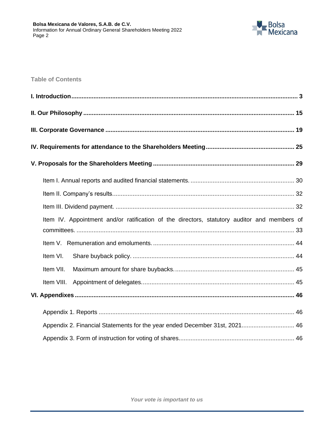

**Table of Contents**

| Item IV. Appointment and/or ratification of the directors, statutory auditor and members of |
|---------------------------------------------------------------------------------------------|
|                                                                                             |
| Item VI.                                                                                    |
| Item VII.                                                                                   |
|                                                                                             |
|                                                                                             |
|                                                                                             |
| Appendix 2. Financial Statements for the year ended December 31st, 2021 46                  |
|                                                                                             |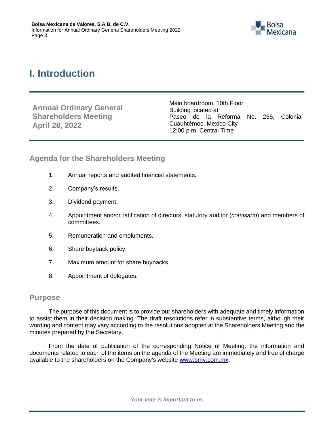

# <span id="page-2-0"></span>**I. Introduction**

**Annual Ordinary General Shareholders Meeting April 28, 2022**

Main boardroom, 10th Floor Building located at Paseo de la Reforma No. 255, Colonia Cuauhtémoc, Mexico City 12:00 p.m. Central Time

# **Agenda for the Shareholders Meeting**

- 1. Annual reports and audited financial statements.
- 2. Company's results.
- 3. Dividend payment.
- 4. Appointment and/or ratification of directors, statutory auditor (*comisario*) and members of committees.
- 5. Remuneration and emoluments.
- 6. Share buyback policy.
- 7. Maximum amount for share buybacks.
- 8. Appointment of delegates.

# **Purpose**

The purpose of this document is to provide our shareholders with adequate and timely information to assist them in their decision making. The draft resolutions refer in substantive terms, although their wording and content may vary according to the resolutions adopted at the Shareholders Meeting and the minutes prepared by the Secretary.

From the date of publication of the corresponding Notice of Meeting, the information and documents related to each of the items on the agenda of the Meeting are immediately and free of charge available to the shareholders on the Company's website [www.bmv.com.mx.](http://www.bmv.com.mx/)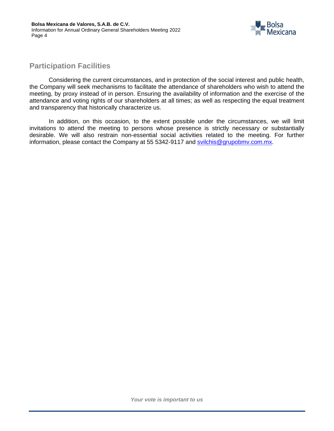

# **Participation Facilities**

Considering the current circumstances, and in protection of the social interest and public health, the Company will seek mechanisms to facilitate the attendance of shareholders who wish to attend the meeting, by proxy instead of in person. Ensuring the availability of information and the exercise of the attendance and voting rights of our shareholders at all times; as well as respecting the equal treatment and transparency that historically characterize us.

In addition, on this occasion, to the extent possible under the circumstances, we will limit invitations to attend the meeting to persons whose presence is strictly necessary or substantially desirable. We will also restrain non-essential social activities related to the meeting. For further information, please contact the Company at 55 5342-9117 and [svilchis@grupobmv.com.mx.](mailto:svilchis@grupobmv.com.mx)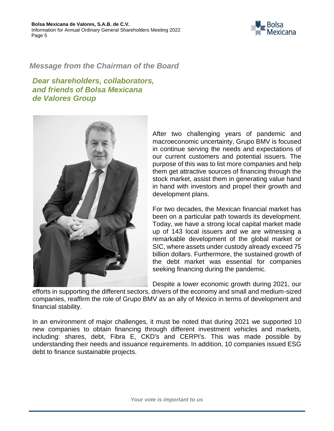

# *Message from the Chairman of the Board*

*Dear shareholders, collaborators, and friends of Bolsa Mexicana de Valores Group*



After two challenging years of pandemic and macroeconomic uncertainty, Grupo BMV is focused in continue serving the needs and expectations of our current customers and potential issuers. The purpose of this was to list more companies and help them get attractive sources of financing through the stock market, assist them in generating value hand in hand with investors and propel their growth and development plans.

For two decades, the Mexican financial market has been on a particular path towards its development. Today, we have a strong local capital market made up of 143 local issuers and we are witnessing a remarkable development of the global market or SIC, where assets under custody already exceed 75 billion dollars. Furthermore, the sustained growth of the debt market was essential for companies seeking financing during the pandemic.

Despite a lower economic growth during 2021, our

efforts in supporting the different sectors, drivers of the economy and small and medium-sized companies, reaffirm the role of Grupo BMV as an ally of Mexico in terms of development and financial stability.

In an environment of major challenges, it must be noted that during 2021 we supported 10 new companies to obtain financing through different investment vehicles and markets, including: shares, debt, Fibra E, CKD's and CERPI's. This was made possible by understanding their needs and issuance requirements. In addition, 10 companies issued ESG debt to finance sustainable projects.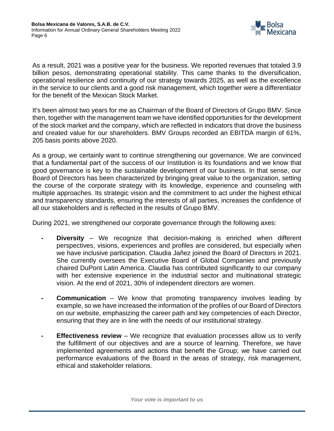

As a result, 2021 was a positive year for the business. We reported revenues that totaled 3.9 billion pesos, demonstrating operational stability. This came thanks to the diversification, operational resilience and continuity of our strategy towards 2025, as well as the excellence in the service to our clients and a good risk management, which together were a differentiator for the benefit of the Mexican Stock Market.

It's been almost two years for me as Chairman of the Board of Directors of Grupo BMV. Since then, together with the management team we have identified opportunities for the development of the stock market and the company, which are reflected in indicators that drove the business and created value for our shareholders. BMV Groups recorded an EBITDA margin of 61%, 205 basis points above 2020.

As a group, we certainly want to continue strengthening our governance. We are convinced that a fundamental part of the success of our Institution is its foundations and we know that good governance is key to the sustainable development of our business. In that sense, our Board of Directors has been characterized by bringing great value to the organization, setting the course of the corporate strategy with its knowledge, experience and counseling with multiple approaches. Its strategic vision and the commitment to act under the highest ethical and transparency standards, ensuring the interests of all parties, increases the confidence of all our stakeholders and is reflected in the results of Grupo BMV.

During 2021, we strengthened our corporate governance through the following axes:

- **- Diversity** We recognize that decision-making is enriched when different perspectives, visions, experiences and profiles are considered, but especially when we have inclusive participation. Claudia Jañez joined the Board of Directors in 2021. She currently oversees the Executive Board of Global Companies and previously chaired DuPont Latin America. Claudia has contributed significantly to our company with her extensive experience in the industrial sector and multinational strategic vision. At the end of 2021, 30% of independent directors are women.
- **- Communication** We know that promoting transparency involves leading by example, so we have increased the information of the profiles of our Board of Directors on our website, emphasizing the career path and key competencies of each Director, ensuring that they are in line with the needs of our institutional strategy.
- **- Effectiveness review** We recognize that evaluation processes allow us to verify the fulfillment of our objectives and are a source of learning. Therefore, we have implemented agreements and actions that benefit the Group; we have carried out performance evaluations of the Board in the areas of strategy, risk management, ethical and stakeholder relations.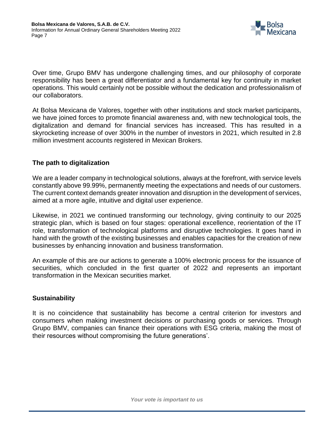

Over time, Grupo BMV has undergone challenging times, and our philosophy of corporate responsibility has been a great differentiator and a fundamental key for continuity in market operations. This would certainly not be possible without the dedication and professionalism of our collaborators.

At Bolsa Mexicana de Valores, together with other institutions and stock market participants, we have joined forces to promote financial awareness and, with new technological tools, the digitalization and demand for financial services has increased. This has resulted in a skyrocketing increase of over 300% in the number of investors in 2021, which resulted in 2.8 million investment accounts registered in Mexican Brokers.

# **The path to digitalization**

We are a leader company in technological solutions, always at the forefront, with service levels constantly above 99.99%, permanently meeting the expectations and needs of our customers. The current context demands greater innovation and disruption in the development of services, aimed at a more agile, intuitive and digital user experience.

Likewise, in 2021 we continued transforming our technology, giving continuity to our 2025 strategic plan, which is based on four stages: operational excellence, reorientation of the IT role, transformation of technological platforms and disruptive technologies. It goes hand in hand with the growth of the existing businesses and enables capacities for the creation of new businesses by enhancing innovation and business transformation.

An example of this are our actions to generate a 100% electronic process for the issuance of securities, which concluded in the first quarter of 2022 and represents an important transformation in the Mexican securities market.

# **Sustainability**

It is no coincidence that sustainability has become a central criterion for investors and consumers when making investment decisions or purchasing goods or services. Through Grupo BMV, companies can finance their operations with ESG criteria, making the most of their resources without compromising the future generations'.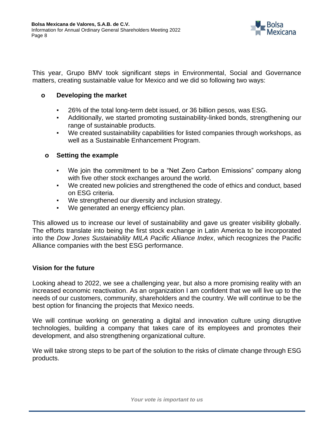

This year, Grupo BMV took significant steps in Environmental, Social and Governance matters, creating sustainable value for Mexico and we did so following two ways:

# **o Developing the market**

- 26% of the total long-term debt issued, or 36 billion pesos, was ESG.
- Additionally, we started promoting sustainability-linked bonds, strengthening our range of sustainable products.
- We created sustainability capabilities for listed companies through workshops, as well as a Sustainable Enhancement Program.

# **o Setting the example**

- We join the commitment to be a "Net Zero Carbon Emissions" company along with five other stock exchanges around the world.
- We created new policies and strengthened the code of ethics and conduct, based on ESG criteria.
- We strengthened our diversity and inclusion strategy.
- We generated an energy efficiency plan.

This allowed us to increase our level of sustainability and gave us greater visibility globally. The efforts translate into being the first stock exchange in Latin America to be incorporated into the *Dow Jones Sustainability MILA Pacific Alliance Index*, which recognizes the Pacific Alliance companies with the best ESG performance.

# **Vision for the future**

Looking ahead to 2022, we see a challenging year, but also a more promising reality with an increased economic reactivation. As an organization I am confident that we will live up to the needs of our customers, community, shareholders and the country. We will continue to be the best option for financing the projects that Mexico needs.

We will continue working on generating a digital and innovation culture using disruptive technologies, building a company that takes care of its employees and promotes their development, and also strengthening organizational culture.

We will take strong steps to be part of the solution to the risks of climate change through ESG products.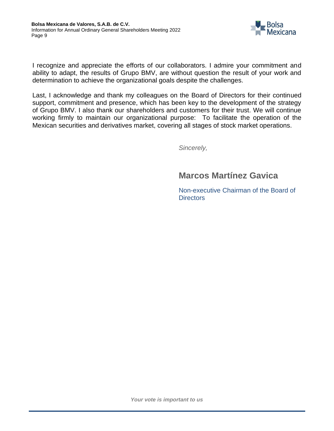

I recognize and appreciate the efforts of our collaborators. I admire your commitment and ability to adapt, the results of Grupo BMV, are without question the result of your work and determination to achieve the organizational goals despite the challenges.

Last, I acknowledge and thank my colleagues on the Board of Directors for their continued support, commitment and presence, which has been key to the development of the strategy of Grupo BMV. I also thank our shareholders and customers for their trust. We will continue working firmly to maintain our organizational purpose: To facilitate the operation of the Mexican securities and derivatives market, covering all stages of stock market operations.

*Sincerely,*

# **Marcos Martínez Gavica**

Non-executive Chairman of the Board of **Directors**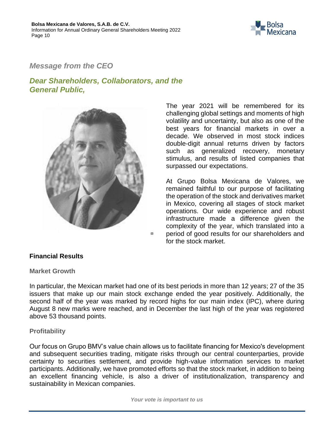

# *Message from the CEO*

# *Dear Shareholders, Collaborators, and the General Public,*



The year 2021 will be remembered for its challenging global settings and moments of high volatility and uncertainty, but also as one of the best years for financial markets in over a decade. We observed in most stock indices double-digit annual returns driven by factors such as generalized recovery, monetary stimulus, and results of listed companies that surpassed our expectations.

At Grupo Bolsa Mexicana de Valores, we remained faithful to our purpose of facilitating the operation of the stock and derivatives market in Mexico, covering all stages of stock market operations. Our wide experience and robust infrastructure made a difference given the complexity of the year, which translated into a period of good results for our shareholders and for the stock market.

#### **Financial Results**

**Market Growth**

In particular, the Mexican market had one of its best periods in more than 12 years; 27 of the 35 issuers that make up our main stock exchange ended the year positively. Additionally, the second half of the year was marked by record highs for our main index (IPC), where during August 8 new marks were reached, and in December the last high of the year was registered above 53 thousand points.

#### **Profitability**

Our focus on Grupo BMV's value chain allows us to facilitate financing for Mexico's development and subsequent securities trading, mitigate risks through our central counterparties, provide certainty to securities settlement, and provide high-value information services to market participants. Additionally, we have promoted efforts so that the stock market, in addition to being an excellent financing vehicle, is also a driver of institutionalization, transparency and sustainability in Mexican companies.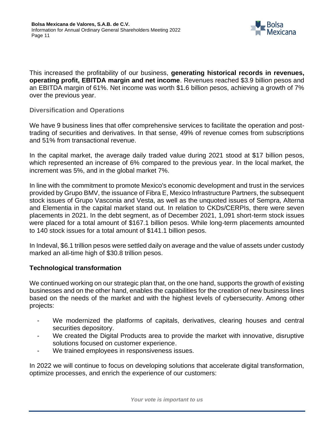

This increased the profitability of our business, **generating historical records in revenues, operating profit, EBITDA margin and net income**. Revenues reached \$3.9 billion pesos and an EBITDA margin of 61%. Net income was worth \$1.6 billion pesos, achieving a growth of 7% over the previous year.

#### **Diversification and Operations**

We have 9 business lines that offer comprehensive services to facilitate the operation and posttrading of securities and derivatives. In that sense, 49% of revenue comes from subscriptions and 51% from transactional revenue.

In the capital market, the average daily traded value during 2021 stood at \$17 billion pesos, which represented an increase of 6% compared to the previous year. In the local market, the increment was 5%, and in the global market 7%.

In line with the commitment to promote Mexico's economic development and trust in the services provided by Grupo BMV, the issuance of Fibra E, Mexico Infrastructure Partners, the subsequent stock issues of Grupo Vasconia and Vesta, as well as the unquoted issues of Sempra, Alterna and Elementia in the capital market stand out. In relation to CKDs/CERPIs, there were seven placements in 2021. In the debt segment, as of December 2021, 1,091 short-term stock issues were placed for a total amount of \$167.1 billion pesos. While long-term placements amounted to 140 stock issues for a total amount of \$141.1 billion pesos.

In Indeval, \$6.1 trillion pesos were settled daily on average and the value of assets under custody marked an all-time high of \$30.8 trillion pesos.

# **Technological transformation**

We continued working on our strategic plan that, on the one hand, supports the growth of existing businesses and on the other hand, enables the capabilities for the creation of new business lines based on the needs of the market and with the highest levels of cybersecurity. Among other projects:

- We modernized the platforms of capitals, derivatives, clearing houses and central securities depository.
- We created the Digital Products area to provide the market with innovative, disruptive solutions focused on customer experience.
- We trained employees in responsiveness issues.

In 2022 we will continue to focus on developing solutions that accelerate digital transformation, optimize processes, and enrich the experience of our customers: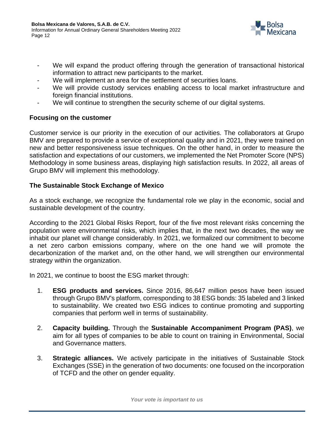

- We will expand the product offering through the generation of transactional historical information to attract new participants to the market.
- We will implement an area for the settlement of securities loans.
- We will provide custody services enabling access to local market infrastructure and foreign financial institutions.
- We will continue to strengthen the security scheme of our digital systems.

# **Focusing on the customer**

Customer service is our priority in the execution of our activities. The collaborators at Grupo BMV are prepared to provide a service of exceptional quality and in 2021, they were trained on new and better responsiveness issue techniques. On the other hand, in order to measure the satisfaction and expectations of our customers, we implemented the Net Promoter Score (NPS) Methodology in some business areas, displaying high satisfaction results. In 2022, all areas of Grupo BMV will implement this methodology.

# **The Sustainable Stock Exchange of Mexico**

As a stock exchange, we recognize the fundamental role we play in the economic, social and sustainable development of the country.

According to the 2021 Global Risks Report, four of the five most relevant risks concerning the population were environmental risks, which implies that, in the next two decades, the way we inhabit our planet will change considerably. In 2021, we formalized our commitment to become a net zero carbon emissions company, where on the one hand we will promote the decarbonization of the market and, on the other hand, we will strengthen our environmental strategy within the organization.

In 2021, we continue to boost the ESG market through:

- 1. **ESG products and services.** Since 2016, 86,647 million pesos have been issued through Grupo BMV's platform, corresponding to 38 ESG bonds: 35 labeled and 3 linked to sustainability. We created two ESG indices to continue promoting and supporting companies that perform well in terms of sustainability.
- 2. **Capacity building.** Through the **Sustainable Accompaniment Program (PAS)**, we aim for all types of companies to be able to count on training in Environmental, Social and Governance matters.
- 3. **Strategic alliances.** We actively participate in the initiatives of Sustainable Stock Exchanges (SSE) in the generation of two documents: one focused on the incorporation of TCFD and the other on gender equality.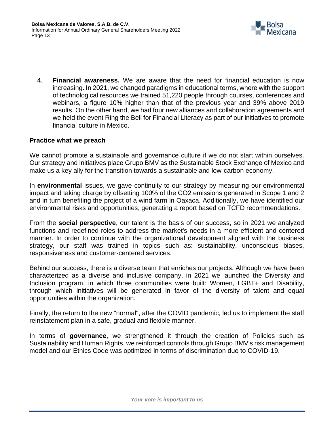

4. **Financial awareness.** We are aware that the need for financial education is now increasing. In 2021, we changed paradigms in educational terms, where with the support of technological resources we trained 51,220 people through courses, conferences and webinars, a figure 10% higher than that of the previous year and 39% above 2019 results. On the other hand, we had four new alliances and collaboration agreements and we held the event Ring the Bell for Financial Literacy as part of our initiatives to promote financial culture in Mexico.

# **Practice what we preach**

We cannot promote a sustainable and governance culture if we do not start within ourselves. Our strategy and initiatives place Grupo BMV as the Sustainable Stock Exchange of Mexico and make us a key ally for the transition towards a sustainable and low-carbon economy.

In **environmental** issues, we gave continuity to our strategy by measuring our environmental impact and taking charge by offsetting 100% of the CO2 emissions generated in Scope 1 and 2 and in turn benefiting the project of a wind farm in Oaxaca. Additionally, we have identified our environmental risks and opportunities, generating a report based on TCFD recommendations.

From the **social perspective**, our talent is the basis of our success, so in 2021 we analyzed functions and redefined roles to address the market's needs in a more efficient and centered manner. In order to continue with the organizational development aligned with the business strategy, our staff was trained in topics such as: sustainability, unconscious biases, responsiveness and customer-centered services.

Behind our success, there is a diverse team that enriches our projects. Although we have been characterized as a diverse and inclusive company, in 2021 we launched the Diversity and Inclusion program, in which three communities were built: Women, LGBT+ and Disability, through which initiatives will be generated in favor of the diversity of talent and equal opportunities within the organization.

Finally, the return to the new "normal", after the COVID pandemic, led us to implement the staff reinstatement plan in a safe, gradual and flexible manner.

In terms of **governance**, we strengthened it through the creation of Policies such as Sustainability and Human Rights, we reinforced controls through Grupo BMV's risk management model and our Ethics Code was optimized in terms of discrimination due to COVID-19.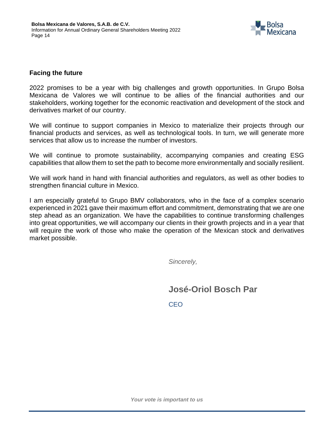

# **Facing the future**

2022 promises to be a year with big challenges and growth opportunities. In Grupo Bolsa Mexicana de Valores we will continue to be allies of the financial authorities and our stakeholders, working together for the economic reactivation and development of the stock and derivatives market of our country.

We will continue to support companies in Mexico to materialize their projects through our financial products and services, as well as technological tools. In turn, we will generate more services that allow us to increase the number of investors.

We will continue to promote sustainability, accompanying companies and creating ESG capabilities that allow them to set the path to become more environmentally and socially resilient.

We will work hand in hand with financial authorities and regulators, as well as other bodies to strengthen financial culture in Mexico.

I am especially grateful to Grupo BMV collaborators, who in the face of a complex scenario experienced in 2021 gave their maximum effort and commitment, demonstrating that we are one step ahead as an organization. We have the capabilities to continue transforming challenges into great opportunities, we will accompany our clients in their growth projects and in a year that will require the work of those who make the operation of the Mexican stock and derivatives market possible.

*Sincerely,*

**José-Oriol Bosch Par**

CEO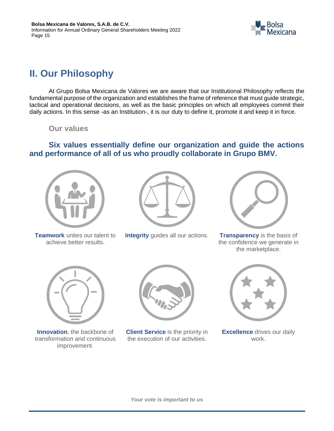

# <span id="page-14-0"></span>**II. Our Philosophy**

At Grupo Bolsa Mexicana de Valores we are aware that our Institutional Philosophy reflects the fundamental purpose of the organization and establishes the frame of reference that must guide strategic, tactical and operational decisions, as well as the basic principles on which all employees commit their daily actions. In this sense -as an Institution-, it is our duty to define it, promote it and keep it in force.

**Our values**

**Six values essentially define our organization and guide the actions and performance of all of us who proudly collaborate in Grupo BMV.**



**Teamwork** unites our talent to achieve better results.



**Integrity** guides all our actions. **Transparency** is the basis of



the confidence we generate in the marketplace.



**Innovation**, the backbone of transformation and continuous improvement.



**Client Service** is the priority in the execution of our activities.



**Excellence** drives our daily work.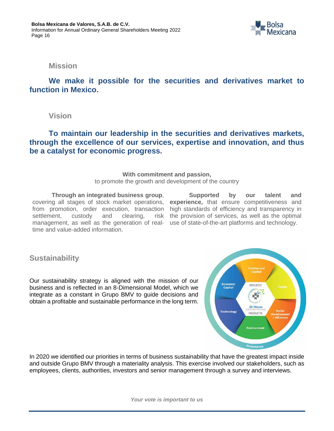

**Mission**

**We make it possible for the securities and derivatives market to function in Mexico.**

**Vision**

**To maintain our leadership in the securities and derivatives markets, through the excellence of our services, expertise and innovation, and thus be a catalyst for economic progress.**

#### **With commitment and passion,**

to promote the growth and development of the country

**Through an integrated business group**, covering all stages of stock market operations, from promotion, order execution, transaction settlement, custody and clearing, risk management, as well as the generation of realtime and value-added information.

**Supported by our talent and experience,** that ensure competitiveness and high standards of efficiency and transparency in the provision of services, as well as the optimal use of state-of-the-art platforms and technology.

**Sustainability**

Our sustainability strategy is aligned with the mission of our business and is reflected in an 8-Dimensional Model, which we integrate as a constant in Grupo BMV to guide decisions and obtain a profitable and sustainable performance in the long term.



In 2020 we identified our priorities in terms of business sustainability that have the greatest impact inside and outside Grupo BMV through a materiality analysis. This exercise involved our stakeholders, such as employees, clients, authorities, investors and senior management through a survey and interviews.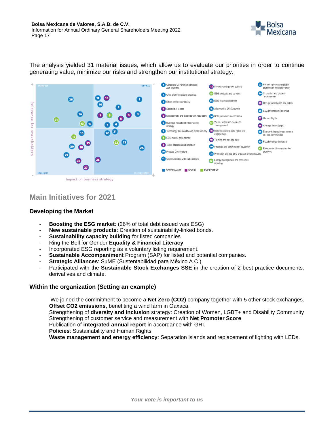

The analysis yielded 31 material issues, which allow us to evaluate our priorities in order to continue generating value, minimize our risks and strengthen our institutional strategy.



# **Main Initiatives for 2021**

#### **Developing the Market**

- **Boosting the ESG market:** (26% of total debt issued was ESG)
- New sustainable products: Creation of sustainability-linked bonds.
- **Sustainability capacity building** for listed companies
- Ring the Bell for Gender **Equality & Financial Literacy**
- Incorporated ESG reporting as a voluntary listing requirement.
- **Sustainable Accompaniment** Program (SAP) for listed and potential companies.
- **Strategic Alliances**: SuME (Sustentabilidad para México A.C.)
- Participated with the **Sustainable Stock Exchanges SSE** in the creation of 2 best practice documents: derivatives and climate.

#### **Within the organization (Setting an example)**

We joined the commitment to become a **Net Zero (CO2)** company together with 5 other stock exchanges. **Offset CO2 emissions**, benefiting a wind farm in Oaxaca.

Strengthening of **diversity and inclusion** strategy: Creation of Women, LGBT+ and Disability Community Strengthening of customer service and measurement with **Net Promoter Score**

Publication of **integrated annual report** in accordance with GRI.

**Policies**: Sustainability and Human Rights

**Waste management and energy efficiency**: Separation islands and replacement of lighting with LEDs.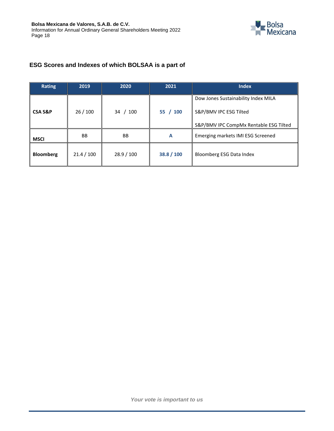

# **ESG Scores and Indexes of which BOLSAA is a part of**

| <b>Rating</b>      | 2019       | 2020       | 2021       | <b>Index</b>                                                                                            |
|--------------------|------------|------------|------------|---------------------------------------------------------------------------------------------------------|
| <b>CSA S&amp;P</b> | 26/100     | /100<br>34 | 55 / 100   | Dow Jones Sustainability Index MILA<br>S&P/BMV IPC ESG Tilted<br>S&P/BMV IPC CompMx Rentable ESG Tilted |
| <b>MSCI</b>        | <b>BB</b>  | <b>BB</b>  | A          | Emerging markets IMI ESG Screened                                                                       |
| <b>Bloomberg</b>   | 21.4 / 100 | 28.9 / 100 | 38.8 / 100 | Bloomberg ESG Data Index                                                                                |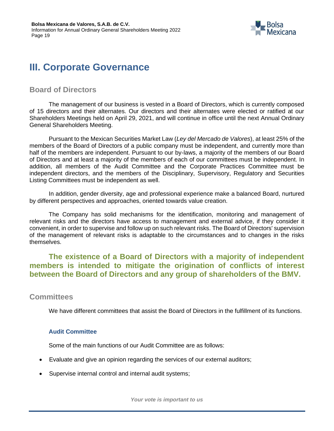

# <span id="page-18-0"></span>**III. Corporate Governance**

# **Board of Directors**

The management of our business is vested in a Board of Directors, which is currently composed of 15 directors and their alternates. Our directors and their alternates were elected or ratified at our Shareholders Meetings held on April 29, 2021, and will continue in office until the next Annual Ordinary General Shareholders Meeting.

Pursuant to the Mexican Securities Market Law (*Ley del Mercado de Valores*), at least 25% of the members of the Board of Directors of a public company must be independent, and currently more than half of the members are independent. Pursuant to our by-laws, a majority of the members of our Board of Directors and at least a majority of the members of each of our committees must be independent. In addition, all members of the Audit Committee and the Corporate Practices Committee must be independent directors, and the members of the Disciplinary, Supervisory, Regulatory and Securities Listing Committees must be independent as well.

In addition, gender diversity, age and professional experience make a balanced Board, nurtured by different perspectives and approaches, oriented towards value creation.

The Company has solid mechanisms for the identification, monitoring and management of relevant risks and the directors have access to management and external advice, if they consider it convenient, in order to supervise and follow up on such relevant risks. The Board of Directors' supervision of the management of relevant risks is adaptable to the circumstances and to changes in the risks themselves.

**The existence of a Board of Directors with a majority of independent members is intended to mitigate the origination of conflicts of interest between the Board of Directors and any group of shareholders of the BMV.**

# **Committees**

We have different committees that assist the Board of Directors in the fulfillment of its functions.

#### **Audit Committee**

Some of the main functions of our Audit Committee are as follows:

- Evaluate and give an opinion regarding the services of our external auditors;
- Supervise internal control and internal audit systems;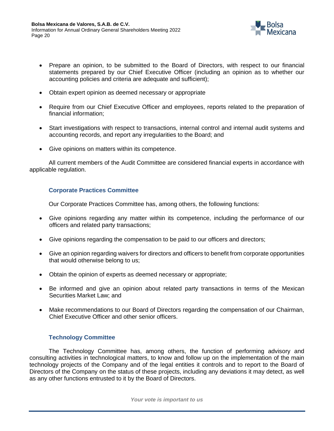

- Prepare an opinion, to be submitted to the Board of Directors, with respect to our financial statements prepared by our Chief Executive Officer (including an opinion as to whether our accounting policies and criteria are adequate and sufficient);
- Obtain expert opinion as deemed necessary or appropriate
- Require from our Chief Executive Officer and employees, reports related to the preparation of financial information;
- Start investigations with respect to transactions, internal control and internal audit systems and accounting records, and report any irregularities to the Board; and
- Give opinions on matters within its competence.

All current members of the Audit Committee are considered financial experts in accordance with applicable regulation.

#### **Corporate Practices Committee**

Our Corporate Practices Committee has, among others, the following functions:

- Give opinions regarding any matter within its competence, including the performance of our officers and related party transactions;
- Give opinions regarding the compensation to be paid to our officers and directors;
- Give an opinion regarding waivers for directors and officers to benefit from corporate opportunities that would otherwise belong to us;
- Obtain the opinion of experts as deemed necessary or appropriate;
- Be informed and give an opinion about related party transactions in terms of the Mexican Securities Market Law; and
- Make recommendations to our Board of Directors regarding the compensation of our Chairman, Chief Executive Officer and other senior officers.

#### **Technology Committee**

The Technology Committee has, among others, the function of performing advisory and consulting activities in technological matters, to know and follow up on the implementation of the main technology projects of the Company and of the legal entities it controls and to report to the Board of Directors of the Company on the status of these projects, including any deviations it may detect, as well as any other functions entrusted to it by the Board of Directors.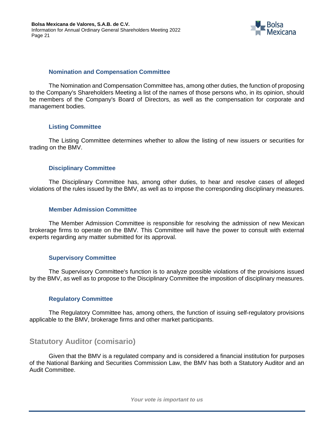

#### **Nomination and Compensation Committee**

The Nomination and Compensation Committee has, among other duties, the function of proposing to the Company's Shareholders Meeting a list of the names of those persons who, in its opinion, should be members of the Company's Board of Directors, as well as the compensation for corporate and management bodies.

#### **Listing Committee**

The Listing Committee determines whether to allow the listing of new issuers or securities for trading on the BMV.

#### **Disciplinary Committee**

The Disciplinary Committee has, among other duties, to hear and resolve cases of alleged violations of the rules issued by the BMV, as well as to impose the corresponding disciplinary measures.

#### **Member Admission Committee**

The Member Admission Committee is responsible for resolving the admission of new Mexican brokerage firms to operate on the BMV. This Committee will have the power to consult with external experts regarding any matter submitted for its approval.

#### **Supervisory Committee**

The Supervisory Committee's function is to analyze possible violations of the provisions issued by the BMV, as well as to propose to the Disciplinary Committee the imposition of disciplinary measures.

#### **Regulatory Committee**

The Regulatory Committee has, among others, the function of issuing self-regulatory provisions applicable to the BMV, brokerage firms and other market participants.

# **Statutory Auditor (comisario)**

Given that the BMV is a regulated company and is considered a financial institution for purposes of the National Banking and Securities Commission Law, the BMV has both a Statutory Auditor and an Audit Committee.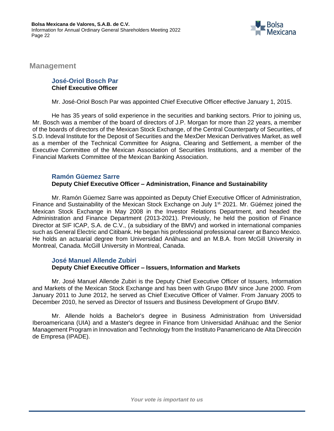

**Management**

#### **José-Oriol Bosch Par Chief Executive Officer**

Mr. José-Oriol Bosch Par was appointed Chief Executive Officer effective January 1, 2015.

He has 35 years of solid experience in the securities and banking sectors. Prior to joining us, Mr. Bosch was a member of the board of directors of J.P. Morgan for more than 22 years, a member of the boards of directors of the Mexican Stock Exchange, of the Central Counterparty of Securities, of S.D. Indeval Institute for the Deposit of Securities and the MexDer Mexican Derivatives Market, as well as a member of the Technical Committee for Asigna, Clearing and Settlement, a member of the Executive Committee of the Mexican Association of Securities Institutions, and a member of the Financial Markets Committee of the Mexican Banking Association.

#### **Ramón Güemez Sarre**

# **Deputy Chief Executive Officer – Administration, Finance and Sustainability**

Mr. Ramón Güemez Sarre was appointed as Deputy Chief Executive Officer of Administration, Finance and Sustainability of the Mexican Stock Exchange on July 1<sup>st,</sup> 2021. Mr. Güémez joined the Mexican Stock Exchange in May 2008 in the Investor Relations Department, and headed the Administration and Finance Department (2013-2021). Previously, he held the position of Finance Director at SIF ICAP, S.A. de C.V., (a subsidiary of the BMV) and worked in international companies such as General Electric and Citibank. He began his professional professional career at Banco Mexico. He holds an actuarial degree from Universidad Anáhuac and an M.B.A. from McGill University in Montreal, Canada. McGill University in Montreal, Canada.

#### **José Manuel Allende Zubiri Deputy Chief Executive Officer – Issuers, Information and Markets**

Mr. José Manuel Allende Zubiri is the Deputy Chief Executive Officer of Issuers, Information and Markets of the Mexican Stock Exchange and has been with Grupo BMV since June 2000. From January 2011 to June 2012, he served as Chief Executive Officer of Valmer. From January 2005 to December 2010, he served as Director of Issuers and Business Development of Grupo BMV.

Mr. Allende holds a Bachelor's degree in Business Administration from Universidad Iberoamericana (UIA) and a Master's degree in Finance from Universidad Anáhuac and the Senior Management Program in Innovation and Technology from the Instituto Panamericano de Alta Dirección de Empresa (IPADE).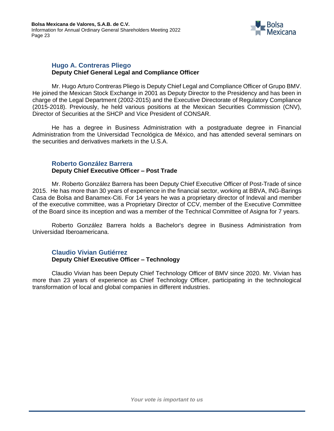

#### **Hugo A. Contreras Pliego Deputy Chief General Legal and Compliance Officer**

Mr. Hugo Arturo Contreras Pliego is Deputy Chief Legal and Compliance Officer of Grupo BMV. He joined the Mexican Stock Exchange in 2001 as Deputy Director to the Presidency and has been in charge of the Legal Department (2002-2015) and the Executive Directorate of Regulatory Compliance (2015-2018). Previously, he held various positions at the Mexican Securities Commission (CNV), Director of Securities at the SHCP and Vice President of CONSAR.

He has a degree in Business Administration with a postgraduate degree in Financial Administration from the Universidad Tecnológica de México, and has attended several seminars on the securities and derivatives markets in the U.S.A.

#### **Roberto González Barrera Deputy Chief Executive Officer – Post Trade**

Mr. Roberto González Barrera has been Deputy Chief Executive Officer of Post-Trade of since 2015. He has more than 30 years of experience in the financial sector, working at BBVA, ING-Barings Casa de Bolsa and Banamex-Citi. For 14 years he was a proprietary director of Indeval and member of the executive committee, was a Proprietary Director of CCV, member of the Executive Committee of the Board since its inception and was a member of the Technical Committee of Asigna for 7 years.

Roberto González Barrera holds a Bachelor's degree in Business Administration from Universidad Iberoamericana.

#### **Claudio Vivian Gutiérrez Deputy Chief Executive Officer – Technology**

Claudio Vivian has been Deputy Chief Technology Officer of BMV since 2020. Mr. Vivian has more than 23 years of experience as Chief Technology Officer, participating in the technological transformation of local and global companies in different industries.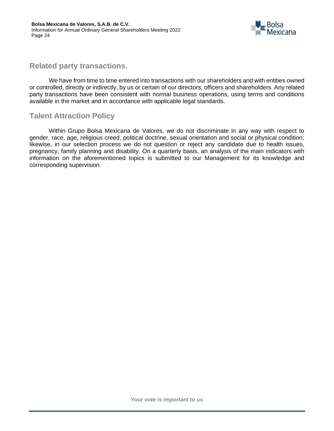

# **Related party transactions.**

We have from time to time entered into transactions with our shareholders and with entities owned or controlled, directly or indirectly, by us or certain of our directors, officers and shareholders. Any related party transactions have been consistent with normal business operations, using terms and conditions available in the market and in accordance with applicable legal standards.

# **Talent Attraction Policy**

Within Grupo Bolsa Mexicana de Valores, we do not discriminate in any way with respect to gender, race, age, religious creed, political doctrine, sexual orientation and social or physical condition; likewise, in our selection process we do not question or reject any candidate due to health issues, pregnancy, family planning and disability. On a quarterly basis, an analysis of the main indicators with information on the aforementioned topics is submitted to our Management for its knowledge and corresponding supervision.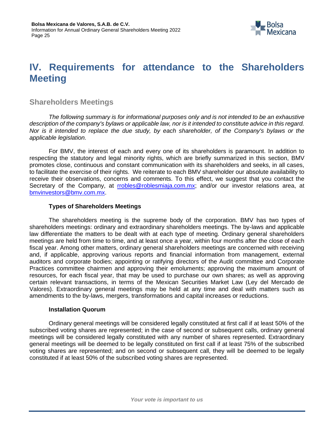

# <span id="page-24-0"></span>**IV. Requirements for attendance to the Shareholders Meeting**

# **Shareholders Meetings**

*The following summary is for informational purposes only and is not intended to be an exhaustive*  description of the company's bylaws or applicable law, nor is it intended to constitute advice in this regard. *Nor is it intended to replace the due study, by each shareholder, of the Company's bylaws or the applicable legislation.*

For BMV, the interest of each and every one of its shareholders is paramount. In addition to respecting the statutory and legal minority rights, which are briefly summarized in this section, BMV promotes close, continuous and constant communication with its shareholders and seeks, in all cases, to facilitate the exercise of their rights. We reiterate to each BMV shareholder our absolute availability to receive their observations, concerns and comments. To this effect, we suggest that you contact the Secretary of the Company, at **rrobles@roblesmiaja.com.mx**; and/or our investor relations area, at [bmvinvestors@bmv.com.mx.](mailto:bmvinvestors@bmv.com.mx)

#### **Types of Shareholders Meetings**

The shareholders meeting is the supreme body of the corporation. BMV has two types of shareholders meetings: ordinary and extraordinary shareholders meetings. The by-laws and applicable law differentiate the matters to be dealt with at each type of meeting. Ordinary general shareholders meetings are held from time to time, and at least once a year, within four months after the close of each fiscal year. Among other matters, ordinary general shareholders meetings are concerned with receiving and, if applicable, approving various reports and financial information from management, external auditors and corporate bodies; appointing or ratifying directors of the Audit committee and Corporate Practices committee chairmen and approving their emoluments; approving the maximum amount of resources, for each fiscal year, that may be used to purchase our own shares; as well as approving certain relevant transactions, in terms of the Mexican Securities Market Law (Ley del Mercado de Valores). Extraordinary general meetings may be held at any time and deal with matters such as amendments to the by-laws, mergers, transformations and capital increases or reductions.

#### **Installation Quorum**

Ordinary general meetings will be considered legally constituted at first call if at least 50% of the subscribed voting shares are represented; in the case of second or subsequent calls, ordinary general meetings will be considered legally constituted with any number of shares represented. Extraordinary general meetings will be deemed to be legally constituted on first call if at least 75% of the subscribed voting shares are represented; and on second or subsequent call, they will be deemed to be legally constituted if at least 50% of the subscribed voting shares are represented.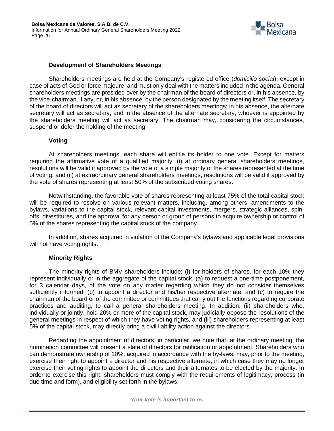

#### **Development of Shareholders Meetings**

Shareholders meetings are held at the Company's registered office (*domicilio social*), except in case of acts of God or force majeure, and must only deal with the matters included in the agenda. General shareholders meetings are presided over by the chairman of the board of directors or, in his absence, by the vice-chairman, if any, or, in his absence, by the person designated by the meeting itself. The secretary of the board of directors will act as secretary of the shareholders meetings; in his absence, the alternate secretary will act as secretary, and in the absence of the alternate secretary, whoever is appointed by the shareholders meeting will act as secretary. The chairman may, considering the circumstances, suspend or defer the holding of the meeting.

#### **Voting**

At shareholders meetings, each share will entitle its holder to one vote. Except for matters requiring the affirmative vote of a qualified majority: (i) at ordinary general shareholders meetings, resolutions will be valid if approved by the vote of a simple majority of the shares represented at the time of voting; and (ii) at extraordinary general shareholders meetings, resolutions will be valid if approved by the vote of shares representing at least 50% of the subscribed voting shares.

Notwithstanding, the favorable vote of shares representing at least 75% of the total capital stock will be required to resolve on various relevant matters, including, among others, amendments to the bylaws, variations to the capital stock, relevant capital investments, mergers, strategic alliances, spinoffs, divestitures, and the approval for any person or group of persons to acquire ownership or control of 5% of the shares representing the capital stock of the company.

In addition, shares acquired in violation of the Company's bylaws and applicable legal provisions will not have voting rights.

#### **Minority Rights**

The minority rights of BMV shareholders include: (i) for holders of shares, for each 10% they represent individually or in the aggregate of the capital stock, (a) to request a one-time postponement, for 3 calendar days, of the vote on any matter regarding which they do not consider themselves sufficiently informed; (b) to appoint a director and his/her respective alternate; and (c) to require the chairman of the board or of the committee or committees that carry out the functions regarding corporate practices and auditing, to call a general shareholders meeting. In addition: (ii) shareholders who, individually or jointly, hold 20% or more of the capital stock, may judicially oppose the resolutions of the general meetings in respect of which they have voting rights, and (iii) shareholders representing at least 5% of the capital stock, may directly bring a civil liability action against the directors.

Regarding the appointment of directors, in particular, we note that, at the ordinary meeting, the nomination committee will present a slate of directors for ratification or appointment. Shareholders who can demonstrate ownership of 10%, acquired in accordance with the by-laws, may, prior to the meeting, exercise their right to appoint a director and his respective alternate, in which case they may no longer exercise their voting rights to appoint the directors and their alternates to be elected by the majority. In order to exercise this right, shareholders must comply with the requirements of legitimacy, process (in due time and form), and eligibility set forth in the bylaws.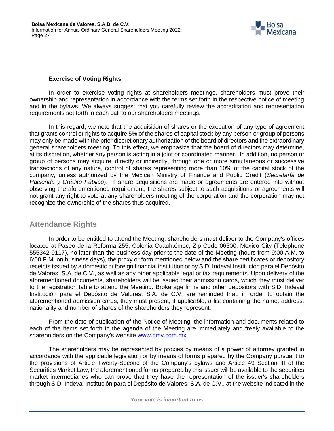

#### **Exercise of Voting Rights**

In order to exercise voting rights at shareholders meetings, shareholders must prove their ownership and representation in accordance with the terms set forth in the respective notice of meeting and in the bylaws. We always suggest that you carefully review the accreditation and representation requirements set forth in each call to our shareholders meetings.

In this regard, we note that the acquisition of shares or the execution of any type of agreement that grants control or rights to acquire 5% of the shares of capital stock by any person or group of persons may only be made with the prior discretionary authorization of the board of directors and the extraordinary general shareholders meeting. To this effect, we emphasize that the board of directors may determine, at its discretion, whether any person is acting in a joint or coordinated manner. In addition, no person or group of persons may acquire, directly or indirectly, through one or more simultaneous or successive transactions of any nature, control of shares representing more than 10% of the capital stock of the company, unless authorized by the Mexican Ministry of Finance and Public Credit (*Secretaría de Hacienda y Crédito Público*). If share acquisitions are made or agreements are entered into without observing the aforementioned requirement, the shares subject to such acquisitions or agreements will not grant any right to vote at any shareholders meeting of the corporation and the corporation may not recognize the ownership of the shares thus acquired.

# **Attendance Rights**

In order to be entitled to attend the Meeting, shareholders must deliver to the Company's offices located at Paseo de la Reforma 255, Colonia Cuauhtémoc, Zip Code 06500, Mexico City (Telephone 555342-9117), no later than the business day prior to the date of the Meeting (hours from 9:00 A.M. to 6:00 P.M. on business days), the proxy or form mentioned below and the share certificates or depository receipts issued by a domestic or foreign financial institution or by S.D. Indeval Institución para el Depósito de Valores, S.A. de C.V., as well as any other applicable legal or tax requirements. Upon delivery of the aforementioned documents, shareholders will be issued their admission cards, which they must deliver to the registration table to attend the Meeting. Brokerage firms and other depositors with S.D. Indeval Institución para el Depósito de Valores, S.A. de C.V. are reminded that, in order to obtain the aforementioned admission cards, they must present, if applicable, a list containing the name, address, nationality and number of shares of the shareholders they represent.

From the date of publication of the Notice of Meeting, the information and documents related to each of the items set forth in the agenda of the Meeting are immediately and freely available to the shareholders on the Company's website [www.bmv.com.mx.](http://www.bmv.com.mx/)

The shareholders may be represented by proxies by means of a power of attorney granted in accordance with the applicable legislation or by means of forms prepared by the Company pursuant to the provisions of Article Twenty-Second of the Company's bylaws and Article 49 Section III of the Securities Market Law, the aforementioned forms prepared by this issuer will be available to the securities market intermediaries who can prove that they have the representation of the issuer's shareholders through S.D. Indeval Institución para el Depósito de Valores, S.A. de C.V., at the website indicated in the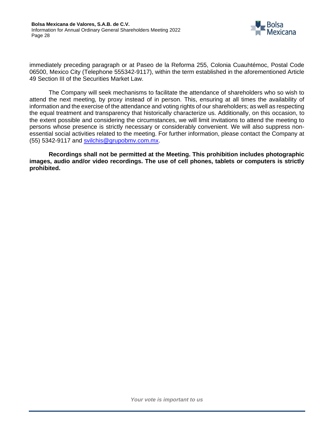

immediately preceding paragraph or at Paseo de la Reforma 255, Colonia Cuauhtémoc, Postal Code 06500, Mexico City (Telephone 555342-9117), within the term established in the aforementioned Article 49 Section III of the Securities Market Law.

The Company will seek mechanisms to facilitate the attendance of shareholders who so wish to attend the next meeting, by proxy instead of in person. This, ensuring at all times the availability of information and the exercise of the attendance and voting rights of our shareholders; as well as respecting the equal treatment and transparency that historically characterize us. Additionally, on this occasion, to the extent possible and considering the circumstances, we will limit invitations to attend the meeting to persons whose presence is strictly necessary or considerably convenient. We will also suppress nonessential social activities related to the meeting. For further information, please contact the Company at (55) 5342-9117 and [svilchis@grupobmv.com.mx.](mailto:svilchis@grupobmv.com.mx)

**Recordings shall not be permitted at the Meeting. This prohibition includes photographic images, audio and/or video recordings. The use of cell phones, tablets or computers is strictly prohibited.**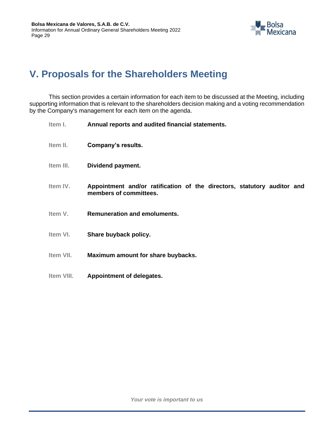

# <span id="page-28-0"></span>**V. Proposals for the Shareholders Meeting**

This section provides a certain information for each item to be discussed at the Meeting, including supporting information that is relevant to the shareholders decision making and a voting recommendation by the Company's management for each item on the agenda.

| Item I.    | Annual reports and audited financial statements.                                                  |
|------------|---------------------------------------------------------------------------------------------------|
| Item II.   | Company's results.                                                                                |
| Item III.  | Dividend payment.                                                                                 |
| Item IV.   | Appointment and/or ratification of the directors, statutory auditor and<br>members of committees. |
| Item V.    | <b>Remuneration and emoluments.</b>                                                               |
| Item VI.   | Share buyback policy.                                                                             |
| Item VII.  | Maximum amount for share buybacks.                                                                |
| Item VIII. | Appointment of delegates.                                                                         |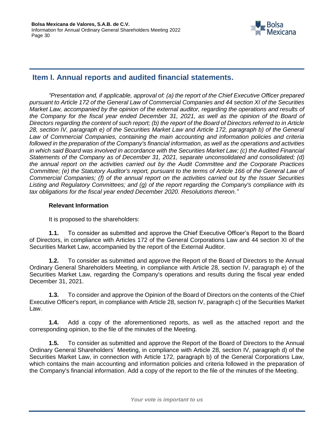

# <span id="page-29-0"></span>**Item I. Annual reports and audited financial statements.**

*"Presentation and, if applicable, approval of: (a) the report of the Chief Executive Officer prepared pursuant to Article 172 of the General Law of Commercial Companies and 44 section XI of the Securities Market Law, accompanied by the opinion of the external auditor, regarding the operations and results of the Company for the fiscal year ended December 31, 2021, as well as the opinion of the Board of Directors regarding the content of such report; (b) the report of the Board of Directors referred to in Article 28, section IV, paragraph e) of the Securities Market Law and Article 172, paragraph b) of the General Law of Commercial Companies, containing the main accounting and information policies and criteria followed in the preparation of the Company's financial information, as well as the operations and activities in which said Board was involved in accordance with the Securities Market Law; (c) the Audited Financial Statements of the Company as of December 31, 2021, separate unconsolidated and consolidated; (d) the annual report on the activities carried out by the Audit Committee and the Corporate Practices Committee; (e) the Statutory Auditor's report, pursuant to the terms of Article 166 of the General Law of Commercial Companies; (f) of the annual report on the activities carried out by the Issuer Securities Listing and Regulatory Committees; and (g) of the report regarding the Company's compliance with its tax obligations for the fiscal year ended December 2020. Resolutions thereon."*

#### **Relevant Information**

It is proposed to the shareholders:

**1.1.** To consider as submitted and approve the Chief Executive Officer's Report to the Board of Directors, in compliance with Articles 172 of the General Corporations Law and 44 section XI of the Securities Market Law, accompanied by the report of the External Auditor.

**1.2.** To consider as submitted and approve the Report of the Board of Directors to the Annual Ordinary General Shareholders Meeting, in compliance with Article 28, section IV, paragraph e) of the Securities Market Law, regarding the Company's operations and results during the fiscal year ended December 31, 2021.

**1.3.** To consider and approve the Opinion of the Board of Directors on the contents of the Chief Executive Officer's report, in compliance with Article 28, section IV, paragraph c) of the Securities Market Law.

**1.4.** Add a copy of the aforementioned reports, as well as the attached report and the corresponding opinion, to the file of the minutes of the Meeting.

**1.5.** To consider as submitted and approve the Report of the Board of Directors to the Annual Ordinary General Shareholders´ Meeting, in compliance with Article 28, section IV, paragraph d) of the Securities Market Law, in connection with Article 172, paragraph b) of the General Corporations Law, which contains the main accounting and information policies and criteria followed in the preparation of the Company's financial information. Add a copy of the report to the file of the minutes of the Meeting.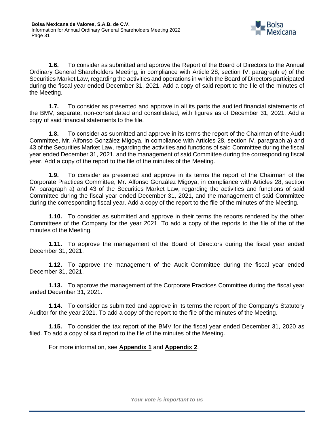

**1.6.** To consider as submitted and approve the Report of the Board of Directors to the Annual Ordinary General Shareholders Meeting, in compliance with Article 28, section IV, paragraph e) of the Securities Market Law, regarding the activities and operations in which the Board of Directors participated during the fiscal year ended December 31, 2021. Add a copy of said report to the file of the minutes of the Meeting.

**1.7.** To consider as presented and approve in all its parts the audited financial statements of the BMV, separate, non-consolidated and consolidated, with figures as of December 31, 2021. Add a copy of said financial statements to the file.

**1.8.** To consider as submitted and approve in its terms the report of the Chairman of the Audit Committee, Mr. Alfonso González Migoya, in compliance with Articles 28, section IV, paragraph a) and 43 of the Securities Market Law, regarding the activities and functions of said Committee during the fiscal year ended December 31, 2021, and the management of said Committee during the corresponding fiscal year. Add a copy of the report to the file of the minutes of the Meeting.

**1.9.** To consider as presented and approve in its terms the report of the Chairman of the Corporate Practices Committee, Mr. Alfonso González Migoya, in compliance with Articles 28, section IV, paragraph a) and 43 of the Securities Market Law, regarding the activities and functions of said Committee during the fiscal year ended December 31, 2021, and the management of said Committee during the corresponding fiscal year. Add a copy of the report to the file of the minutes of the Meeting.

**1.10.** To consider as submitted and approve in their terms the reports rendered by the other Committees of the Company for the year 2021. To add a copy of the reports to the file of the of the minutes of the Meeting.

**1.11.** To approve the management of the Board of Directors during the fiscal year ended December 31, 2021.

**1.12.** To approve the management of the Audit Committee during the fiscal year ended December 31, 2021.

**1.13.** To approve the management of the Corporate Practices Committee during the fiscal year ended December 31, 2021.

**1.14.** To consider as submitted and approve in its terms the report of the Company's Statutory Auditor for the year 2021. To add a copy of the report to the file of the minutes of the Meeting.

**1.15.** To consider the tax report of the BMV for the fiscal year ended December 31, 2020 as filed. To add a copy of said report to the file of the minutes of the Meeting.

For more information, see **Appendix 1** and **Appendix 2**.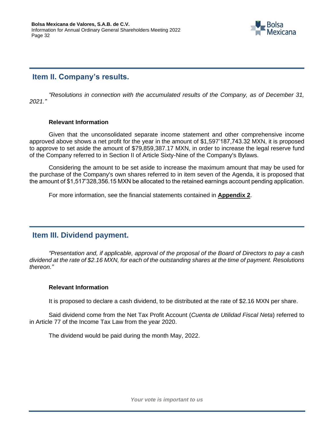

# <span id="page-31-0"></span>**Item II. Company's results.**

*"Resolutions in connection with the accumulated results of the Company, as of December 31, 2021."*

#### **Relevant Information**

Given that the unconsolidated separate income statement and other comprehensive income approved above shows a net profit for the year in the amount of \$1,597'187,743.32 MXN, it is proposed to approve to set aside the amount of \$79,859,387.17 MXN, in order to increase the legal reserve fund of the Company referred to in Section II of Article Sixty-Nine of the Company's Bylaws.

Considering the amount to be set aside to increase the maximum amount that may be used for the purchase of the Company's own shares referred to in item seven of the Agenda, it is proposed that the amount of \$1,517'328,356.15 MXN be allocated to the retained earnings account pending application.

For more information, see the financial statements contained in **Appendix 2**.

# <span id="page-31-1"></span>**Item III. Dividend payment.**

*"Presentation and, if applicable, approval of the proposal of the Board of Directors to pay a cash dividend at the rate of \$2.16 MXN, for each of the outstanding shares at the time of payment. Resolutions thereon."*

#### **Relevant Information**

It is proposed to declare a cash dividend, to be distributed at the rate of \$2.16 MXN per share.

Said dividend come from the Net Tax Profit Account (*Cuenta de Utilidad Fiscal Neta*) referred to in Article 77 of the Income Tax Law from the year 2020.

The dividend would be paid during the month May, 2022.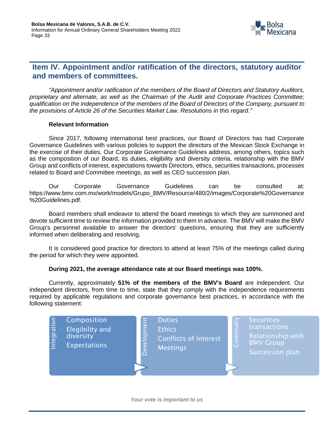

# <span id="page-32-0"></span>**Item IV. Appointment and/or ratification of the directors, statutory auditor and members of committees.**

*"Appointment and/or ratification of the members of the Board of Directors and Statutory Auditors, proprietary and alternate, as well as the Chairman of the Audit and Corporate Practices Committee; qualification on the independence of the members of the Board of Directors of the Company, pursuant to the provisions of Article 26 of the Securities Market Law. Resolutions in this regard."*

#### **Relevant Information**

Since 2017, following international best practices, our Board of Directors has had Corporate Governance Guidelines with various policies to support the directors of the Mexican Stock Exchange in the exercise of their duties. Our Corporate Governance Guidelines address, among others, topics such as the composition of our Board, its duties, eligibility and diversity criteria, relationship with the BMV Group and conflicts of interest, expectations towards Directors, ethics, securities transactions, processes related to Board and Committee meetings, as well as CEO succession plan.

Our Corporate Governance Guidelines can be consulted at: https://www.bmv.com.mx/work/models/Grupo\_BMV/Resource/480/2/images/Corporate%20Governance %20Guidelines.pdf.

Board members shall endeavor to attend the board meetings to which they are summoned and devote sufficient time to review the information provided to them in advance. The BMV will make the BMV Group's personnel available to answer the directors' questions, ensuring that they are sufficiently informed when deliberating and resolving.

It is considered good practice for directors to attend at least 75% of the meetings called during the period for which they were appointed.

#### **During 2021, the average attendance rate at our Board meetings was 100%.**

Currently, approximately **51% of the members of the BMV's Board** are independent. Our independent directors, from time to time, state that they comply with the independence requirements required by applicable regulations and corporate governance best practices, in accordance with the following statement:

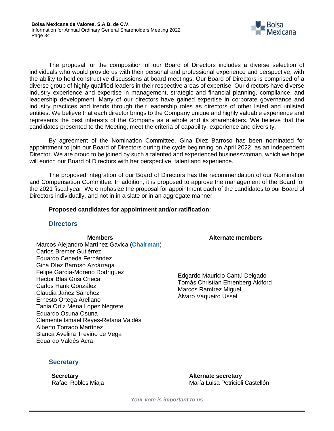

The proposal for the composition of our Board of Directors includes a diverse selection of individuals who would provide us with their personal and professional experience and perspective, with the ability to hold constructive discussions at board meetings. Our Board of Directors is comprised of a diverse group of highly qualified leaders in their respective areas of expertise. Our directors have diverse industry experience and expertise in management, strategic and financial planning, compliance, and leadership development. Many of our directors have gained expertise in corporate governance and industry practices and trends through their leadership roles as directors of other listed and unlisted entities. We believe that each director brings to the Company unique and highly valuable experience and represents the best interests of the Company as a whole and its shareholders. We believe that the candidates presented to the Meeting, meet the criteria of capability, experience and diversity.

By agreement of the Nomination Committee, Gina Díez Barroso has been nominated for appointment to join our Board of Directors during the cycle beginning on April 2022, as an independent Director. We are proud to be joined by such a talented and experienced businesswoman, which we hope will enrich our Board of Directors with her perspective, talent and experience.

The proposed integration of our Board of Directors has the recommendation of our Nomination and Compensation Committee. In addition, it is proposed to approve the management of the Board for the 2021 fiscal year. We emphasize the proposal for appointment each of the candidates to our Board of Directors individually, and not in in a slate or in an aggregate manner.

#### **Proposed candidates for appointment and/or ratification:**

#### **Directors**

Marcos Alejandro Martínez Gavica (**Chairman**) Carlos Bremer Gutiérrez Eduardo Cepeda Fernández Gina Díez Barroso Azcárraga Felipe García-Moreno Rodríguez Héctor Blas Grisi Checa Carlos Hank González Claudia Jañez Sánchez Ernesto Ortega Arellano Tania Ortiz Mena López Negrete Eduardo Osuna Osuna Clemente Ismael Reyes-Retana Valdés Alberto Torrado Martínez Blanca Avelina Treviño de Vega Eduardo Valdés Acra

**Members Alternate members**

Edgardo Mauricio Cantú Delgado Tomás Christian Ehrenberg Aldford Marcos Ramírez Miguel Álvaro Vaqueiro Ussel

#### **Secretary**

**Secretary Alternate secretary** Rafael Robles Miaja María Luisa Petricioli Castellón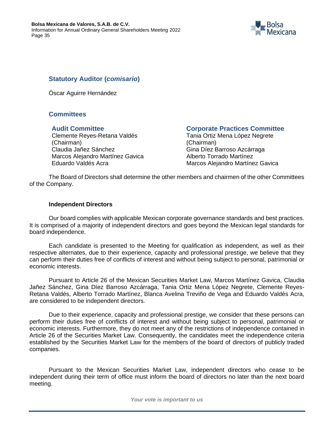

# **Statutory Auditor (***comisario***)**

Óscar Aguirre Hernández

# **Committees**

Clemente Reyes-Retana Valdés (Chairman) Claudia Jañez Sánchez Marcos Alejandro Martínez Gavica Eduardo Valdés Acra

#### **Audit Committee Corporate Practices Committee**

Tania Ortiz Mena López Negrete (Chairman) Gina Díez Barroso Azcárraga Alberto Torrado Martínez Marcos Alejandro Martínez Gavica

The Board of Directors shall determine the other members and chairmen of the other Committees of the Company.

#### **Independent Directors**

Our board complies with applicable Mexican corporate governance standards and best practices. It is comprised of a majority of independent directors and goes beyond the Mexican legal standards for board independence.

Each candidate is presented to the Meeting for qualification as independent, as well as their respective alternates, due to their experience, capacity and professional prestige, we believe that they can perform their duties free of conflicts of interest and without being subject to personal, patrimonial or economic interests.

Pursuant to Article 26 of the Mexican Securities Market Law, Marcos Martínez Gavica, Claudia Jañez Sánchez, Gina Díez Barroso Azcárraga, Tania Ortiz Mena López Negrete, Clemente Reyes-Retana Valdés, Alberto Torrado Martínez, Blanca Avelina Treviño de Vega and Eduardo Valdés Acra, are considered to be independent directors.

Due to their experience, capacity and professional prestige, we consider that these persons can perform their duties free of conflicts of interest and without being subject to personal, patrimonial or economic interests. Furthermore, they do not meet any of the restrictions of independence contained in Article 26 of the Securities Market Law. Consequently, the candidates meet the independence criteria established by the Securities Market Law for the members of the board of directors of publicly traded companies.

Pursuant to the Mexican Securities Market Law, independent directors who cease to be independent during their term of office must inform the board of directors no later than the next board meeting.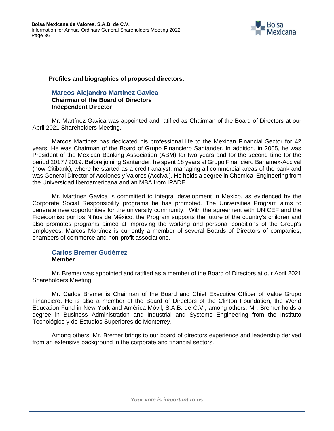

#### **Profiles and biographies of proposed directors.**

**Marcos Alejandro Martínez Gavica Chairman of the Board of Directors Independent Director**

Mr. Martínez Gavica was appointed and ratified as Chairman of the Board of Directors at our April 2021 Shareholders Meeting.

Marcos Martinez has dedicated his professional life to the Mexican Financial Sector for 42 years. He was Chairman of the Board of Grupo Financiero Santander. In addition, in 2005, he was President of the Mexican Banking Association (ABM) for two years and for the second time for the period 2017 / 2019. Before joining Santander, he spent 18 years at Grupo Financiero Banamex-Accival (now Citibank), where he started as a credit analyst, managing all commercial areas of the bank and was General Director of Acciones y Valores (Accival). He holds a degree in Chemical Engineering from the Universidad Iberoamericana and an MBA from IPADE.

Mr. Martínez Gavica is committed to integral development in Mexico, as evidenced by the Corporate Social Responsibility programs he has promoted. The Universities Program aims to generate new opportunities for the university community. With the agreement with UNICEF and the Fideicomiso por los Niños de México, the Program supports the future of the country's children and also promotes programs aimed at improving the working and personal conditions of the Group's employees. Marcos Martínez is currently a member of several Boards of Directors of companies, chambers of commerce and non-profit associations.

#### **Carlos Bremer Gutiérrez Member**

Mr. Bremer was appointed and ratified as a member of the Board of Directors at our April 2021 Shareholders Meeting.

Mr. Carlos Bremer is Chairman of the Board and Chief Executive Officer of Value Grupo Financiero. He is also a member of the Board of Directors of the Clinton Foundation, the World Education Fund in New York and América Móvil, S.A.B. de C.V., among others. Mr. Bremer holds a degree in Business Administration and Industrial and Systems Engineering from the Instituto Tecnológico y de Estudios Superiores de Monterrey.

Among others, Mr. Bremer brings to our board of directors experience and leadership derived from an extensive background in the corporate and financial sectors.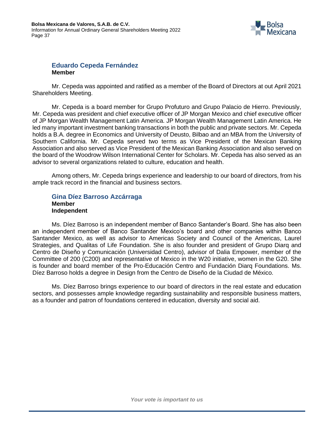

#### **Eduardo Cepeda Fernández Member**

Mr. Cepeda was appointed and ratified as a member of the Board of Directors at out April 2021 Shareholders Meeting.

Mr. Cepeda is a board member for Grupo Profuturo and Grupo Palacio de Hierro. Previously, Mr. Cepeda was president and chief executive officer of JP Morgan Mexico and chief executive officer of JP Morgan Wealth Management Latin America. JP Morgan Wealth Management Latin America. He led many important investment banking transactions in both the public and private sectors. Mr. Cepeda holds a B.A. degree in Economics and University of Deusto, Bilbao and an MBA from the University of Southern California. Mr. Cepeda served two terms as Vice President of the Mexican Banking Association and also served as Vice President of the Mexican Banking Association and also served on the board of the Woodrow Wilson International Center for Scholars. Mr. Cepeda has also served as an advisor to several organizations related to culture, education and health.

Among others, Mr. Cepeda brings experience and leadership to our board of directors, from his ample track record in the financial and business sectors.

#### **Gina Díez Barroso Azcárraga Member Independent**

Ms. Díez Barroso is an independent member of Banco Santander's Board. She has also been an independent member of Banco Santander Mexico's board and other companies within Banco Santander Mexico, as well as advisor to Americas Society and Council of the Americas, Laurel Strategies, and Qualitas of Life Foundation. She is also founder and president of Grupo Diarq and Centro de Diseño y Comunicación (Universidad Centro), advisor of Dalia Empower, member of the Committee of 200 (C200) and representative of Mexico in the W20 initiative, women in the G20. She is founder and board member of the Pro-Educación Centro and Fundación Diarq Foundations. Ms. Díez Barroso holds a degree in Design from the Centro de Diseño de la Ciudad de México.

Ms. Díez Barroso brings experience to our board of directors in the real estate and education sectors, and possesses ample knowledge regarding sustainability and responsible business matters, as a founder and patron of foundations centered in education, diversity and social aid.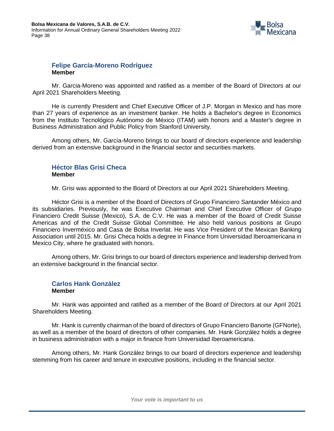

#### **Felipe García-Moreno Rodríguez Member**

Mr. Garcia-Moreno was appointed and ratified as a member of the Board of Directors at our April 2021 Shareholders Meeting.

He is currently President and Chief Executive Officer of J.P. Morgan in Mexico and has more than 27 years of experience as an investment banker. He holds a Bachelor's degree in Economics from the Instituto Tecnológico Autónomo de México (ITAM) with honors and a Master's degree in Business Administration and Public Policy from Stanford University.

Among others, Mr. García-Moreno brings to our board of directors experience and leadership derived from an extensive background in the financial sector and securities markets.

### **Héctor Blas Grisi Checa Member**

Mr. Grisi was appointed to the Board of Directors at our April 2021 Shareholders Meeting.

Héctor Grisi is a member of the Board of Directors of Grupo Financiero Santander México and its subsidiaries. Previously, he was Executive Chairman and Chief Executive Officer of Grupo Financiero Credit Suisse (Mexico), S.A. de C.V. He was a member of the Board of Credit Suisse Americas and of the Credit Suisse Global Committee. He also held various positions at Grupo Financiero Inverméxico and Casa de Bolsa Inverlat. He was Vice President of the Mexican Banking Association until 2015. Mr. Grisi Checa holds a degree in Finance from Universidad Iberoamericana in Mexico City, where he graduated with honors.

Among others, Mr. Grisi brings to our board of directors experience and leadership derived from an extensive background in the financial sector.

#### **Carlos Hank González Member**

Mr. Hank was appointed and ratified as a member of the Board of Directors at our April 2021 Shareholders Meeting.

Mr. Hank is currently chairman of the board of directors of Grupo Financiero Banorte (GFNorte), as well as a member of the board of directors of other companies. Mr. Hank González holds a degree in business administration with a major in finance from Universidad Iberoamericana.

Among others, Mr. Hank González brings to our board of directors experience and leadership stemming from his career and tenure in executive positions, including in the financial sector.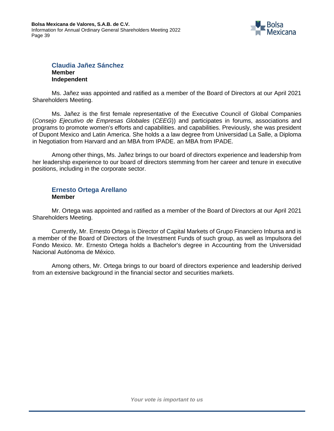

#### **Claudia Jañez Sánchez Member Independent**

Ms. Jañez was appointed and ratified as a member of the Board of Directors at our April 2021 Shareholders Meeting.

Ms. Jañez is the first female representative of the Executive Council of Global Companies (*Consejo Ejecutivo de Empresas Globales* (*CEEG*)) and participates in forums, associations and programs to promote women's efforts and capabilities. and capabilities. Previously, she was president of Dupont Mexico and Latin America. She holds a a law degree from Universidad La Salle, a Diploma in Negotiation from Harvard and an MBA from IPADE. an MBA from IPADE.

Among other things, Ms. Jañez brings to our board of directors experience and leadership from her leadership experience to our board of directors stemming from her career and tenure in executive positions, including in the corporate sector.

#### **Ernesto Ortega Arellano Member**

Mr. Ortega was appointed and ratified as a member of the Board of Directors at our April 2021 Shareholders Meeting.

Currently, Mr. Ernesto Ortega is Director of Capital Markets of Grupo Financiero Inbursa and is a member of the Board of Directors of the Investment Funds of such group, as well as Impulsora del Fondo Mexico. Mr. Ernesto Ortega holds a Bachelor's degree in Accounting from the Universidad Nacional Autónoma de México.

Among others, Mr. Ortega brings to our board of directors experience and leadership derived from an extensive background in the financial sector and securities markets.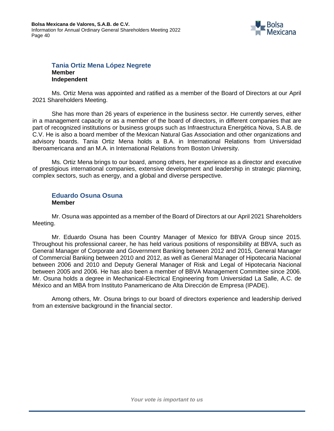

#### **Tania Ortiz Mena López Negrete Member Independent**

Ms. Ortiz Mena was appointed and ratified as a member of the Board of Directors at our April 2021 Shareholders Meeting.

She has more than 26 years of experience in the business sector. He currently serves, either in a management capacity or as a member of the board of directors, in different companies that are part of recognized institutions or business groups such as Infraestructura Energética Nova, S.A.B. de C.V. He is also a board member of the Mexican Natural Gas Association and other organizations and advisory boards. Tania Ortiz Mena holds a B.A. in International Relations from Universidad Iberoamericana and an M.A. in International Relations from Boston University.

Ms. Ortiz Mena brings to our board, among others, her experience as a director and executive of prestigious international companies, extensive development and leadership in strategic planning, complex sectors, such as energy, and a global and diverse perspective.

#### **Eduardo Osuna Osuna Member**

Mr. Osuna was appointed as a member of the Board of Directors at our April 2021 Shareholders Meeting.

Mr. Eduardo Osuna has been Country Manager of Mexico for BBVA Group since 2015. Throughout his professional career, he has held various positions of responsibility at BBVA, such as General Manager of Corporate and Government Banking between 2012 and 2015, General Manager of Commercial Banking between 2010 and 2012, as well as General Manager of Hipotecaria Nacional between 2006 and 2010 and Deputy General Manager of Risk and Legal of Hipotecaria Nacional between 2005 and 2006. He has also been a member of BBVA Management Committee since 2006. Mr. Osuna holds a degree in Mechanical-Electrical Engineering from Universidad La Salle, A.C. de México and an MBA from Instituto Panamericano de Alta Dirección de Empresa (IPADE).

Among others, Mr. Osuna brings to our board of directors experience and leadership derived from an extensive background in the financial sector.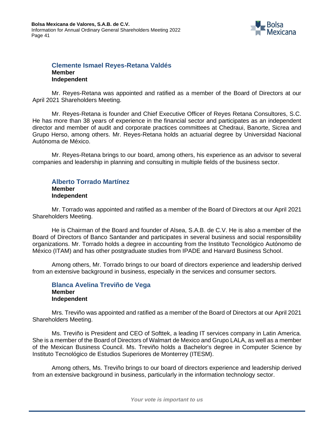

#### **Clemente Ismael Reyes-Retana Valdés Member Independent**

Mr. Reyes-Retana was appointed and ratified as a member of the Board of Directors at our April 2021 Shareholders Meeting.

Mr. Reyes-Retana is founder and Chief Executive Officer of Reyes Retana Consultores, S.C. He has more than 38 years of experience in the financial sector and participates as an independent director and member of audit and corporate practices committees at Chedraui, Banorte, Sicrea and Grupo Herso, among others. Mr. Reyes-Retana holds an actuarial degree by Universidad Nacional Autónoma de México.

Mr. Reyes-Retana brings to our board, among others, his experience as an advisor to several companies and leadership in planning and consulting in multiple fields of the business sector.

#### **Alberto Torrado Martínez Member Independent**

Mr. Torrado was appointed and ratified as a member of the Board of Directors at our April 2021 Shareholders Meeting.

He is Chairman of the Board and founder of Alsea, S.A.B. de C.V. He is also a member of the Board of Directors of Banco Santander and participates in several business and social responsibility organizations. Mr. Torrado holds a degree in accounting from the Instituto Tecnológico Autónomo de México (ITAM) and has other postgraduate studies from IPADE and Harvard Business School.

Among others, Mr. Torrado brings to our board of directors experience and leadership derived from an extensive background in business, especially in the services and consumer sectors.

### **Blanca Avelina Treviño de Vega Member Independent**

Mrs. Treviño was appointed and ratified as a member of the Board of Directors at our April 2021 Shareholders Meeting.

Ms. Treviño is President and CEO of Softtek, a leading IT services company in Latin America. She is a member of the Board of Directors of Walmart de Mexico and Grupo LALA, as well as a member of the Mexican Business Council. Ms. Treviño holds a Bachelor's degree in Computer Science by Instituto Tecnológico de Estudios Superiores de Monterrey (ITESM).

Among others, Ms. Treviño brings to our board of directors experience and leadership derived from an extensive background in business, particularly in the information technology sector.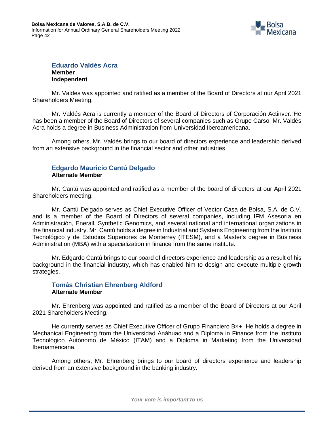

#### **Eduardo Valdés Acra Member Independent**

Mr. Valdes was appointed and ratified as a member of the Board of Directors at our April 2021 Shareholders Meeting.

Mr. Valdés Acra is currently a member of the Board of Directors of Corporación Actinver. He has been a member of the Board of Directors of several companies such as Grupo Carso. Mr. Valdés Acra holds a degree in Business Administration from Universidad Iberoamericana.

Among others, Mr. Valdés brings to our board of directors experience and leadership derived from an extensive background in the financial sector and other industries.

#### **Edgardo Mauricio Cantú Delgado Alternate Member**

Mr. Cantú was appointed and ratified as a member of the board of directors at our April 2021 Shareholders meeting.

Mr. Cantú Delgado serves as Chief Executive Officer of Vector Casa de Bolsa, S.A. de C.V. and is a member of the Board of Directors of several companies, including IFM Asesoría en Administración, Enerall, Synthetic Genomics, and several national and international organizations in the financial industry. Mr. Cantú holds a degree in Industrial and Systems Engineering from the Instituto Tecnológico y de Estudios Superiores de Monterrey (ITESM), and a Master's degree in Business Administration (MBA) with a specialization in finance from the same institute.

Mr. Edgardo Cantú brings to our board of directors experience and leadership as a result of his background in the financial industry, which has enabled him to design and execute multiple growth strategies.

#### **Tomás Christian Ehrenberg Aldford Alternate Member**

Mr. Ehrenberg was appointed and ratified as a member of the Board of Directors at our April 2021 Shareholders Meeting.

He currently serves as Chief Executive Officer of Grupo Financiero B×+. He holds a degree in Mechanical Engineering from the Universidad Anáhuac and a Diploma in Finance from the Instituto Tecnológico Autónomo de México (ITAM) and a Diploma in Marketing from the Universidad Iberoamericana.

Among others, Mr. Ehrenberg brings to our board of directors experience and leadership derived from an extensive background in the banking industry.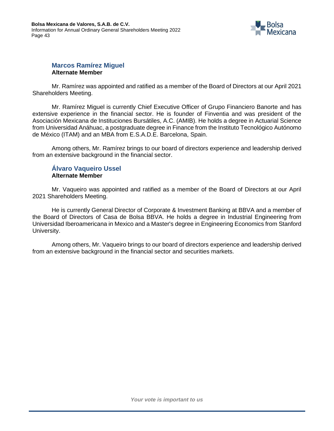

#### **Marcos Ramírez Miguel Alternate Member**

Mr. Ramírez was appointed and ratified as a member of the Board of Directors at our April 2021 Shareholders Meeting.

Mr. Ramírez Miguel is currently Chief Executive Officer of Grupo Financiero Banorte and has extensive experience in the financial sector. He is founder of Finventia and was president of the Asociación Mexicana de Instituciones Bursátiles, A.C. (AMIB). He holds a degree in Actuarial Science from Universidad Anáhuac, a postgraduate degree in Finance from the Instituto Tecnológico Autónomo de México (ITAM) and an MBA from E.S.A.D.E. Barcelona, Spain.

Among others, Mr. Ramírez brings to our board of directors experience and leadership derived from an extensive background in the financial sector.

### **Álvaro Vaqueiro Ussel Alternate Member**

Mr. Vaqueiro was appointed and ratified as a member of the Board of Directors at our April 2021 Shareholders Meeting.

He is currently General Director of Corporate & Investment Banking at BBVA and a member of the Board of Directors of Casa de Bolsa BBVA. He holds a degree in Industrial Engineering from Universidad Iberoamericana in Mexico and a Master's degree in Engineering Economics from Stanford University.

Among others, Mr. Vaqueiro brings to our board of directors experience and leadership derived from an extensive background in the financial sector and securities markets.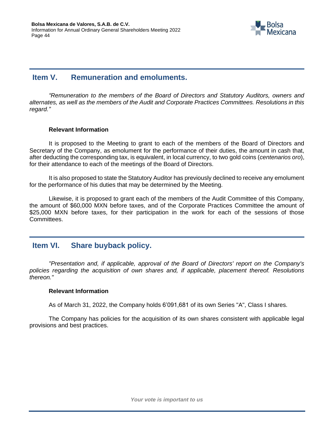

# <span id="page-43-0"></span>**Item V. Remuneration and emoluments.**

*"Remuneration to the members of the Board of Directors and Statutory Auditors, owners and alternates, as well as the members of the Audit and Corporate Practices Committees. Resolutions in this regard."*

#### **Relevant Information**

It is proposed to the Meeting to grant to each of the members of the Board of Directors and Secretary of the Company, as emolument for the performance of their duties, the amount in cash that, after deducting the corresponding tax, is equivalent, in local currency, to two gold coins (*centenarios oro*), for their attendance to each of the meetings of the Board of Directors.

It is also proposed to state the Statutory Auditor has previously declined to receive any emolument for the performance of his duties that may be determined by the Meeting.

Likewise, it is proposed to grant each of the members of the Audit Committee of this Company, the amount of \$60,000 MXN before taxes, and of the Corporate Practices Committee the amount of \$25,000 MXN before taxes, for their participation in the work for each of the sessions of those Committees.

# <span id="page-43-1"></span>**Item VI. Share buyback policy.**

*"Presentation and, if applicable, approval of the Board of Directors' report on the Company's policies regarding the acquisition of own shares and, if applicable, placement thereof. Resolutions thereon."*

#### **Relevant Information**

As of March 31, 2022, the Company holds 6'091,681 of its own Series "A", Class I shares.

The Company has policies for the acquisition of its own shares consistent with applicable legal provisions and best practices.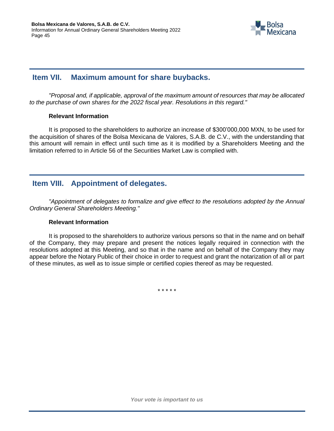

# <span id="page-44-0"></span>**Item VII. Maximum amount for share buybacks.**

*"Proposal and, if applicable, approval of the maximum amount of resources that may be allocated to the purchase of own shares for the 2022 fiscal year. Resolutions in this regard."*

#### **Relevant Information**

It is proposed to the shareholders to authorize an increase of \$300'000,000 MXN, to be used for the acquisition of shares of the Bolsa Mexicana de Valores, S.A.B. de C.V., with the understanding that this amount will remain in effect until such time as it is modified by a Shareholders Meeting and the limitation referred to in Article 56 of the Securities Market Law is complied with.

# <span id="page-44-1"></span>**Item VIII. Appointment of delegates.**

*"Appointment of delegates to formalize and give effect to the resolutions adopted by the Annual Ordinary General Shareholders Meeting."*

#### **Relevant Information**

It is proposed to the shareholders to authorize various persons so that in the name and on behalf of the Company, they may prepare and present the notices legally required in connection with the resolutions adopted at this Meeting, and so that in the name and on behalf of the Company they may appear before the Notary Public of their choice in order to request and grant the notarization of all or part of these minutes, as well as to issue simple or certified copies thereof as may be requested.

\* \* \* \* \*